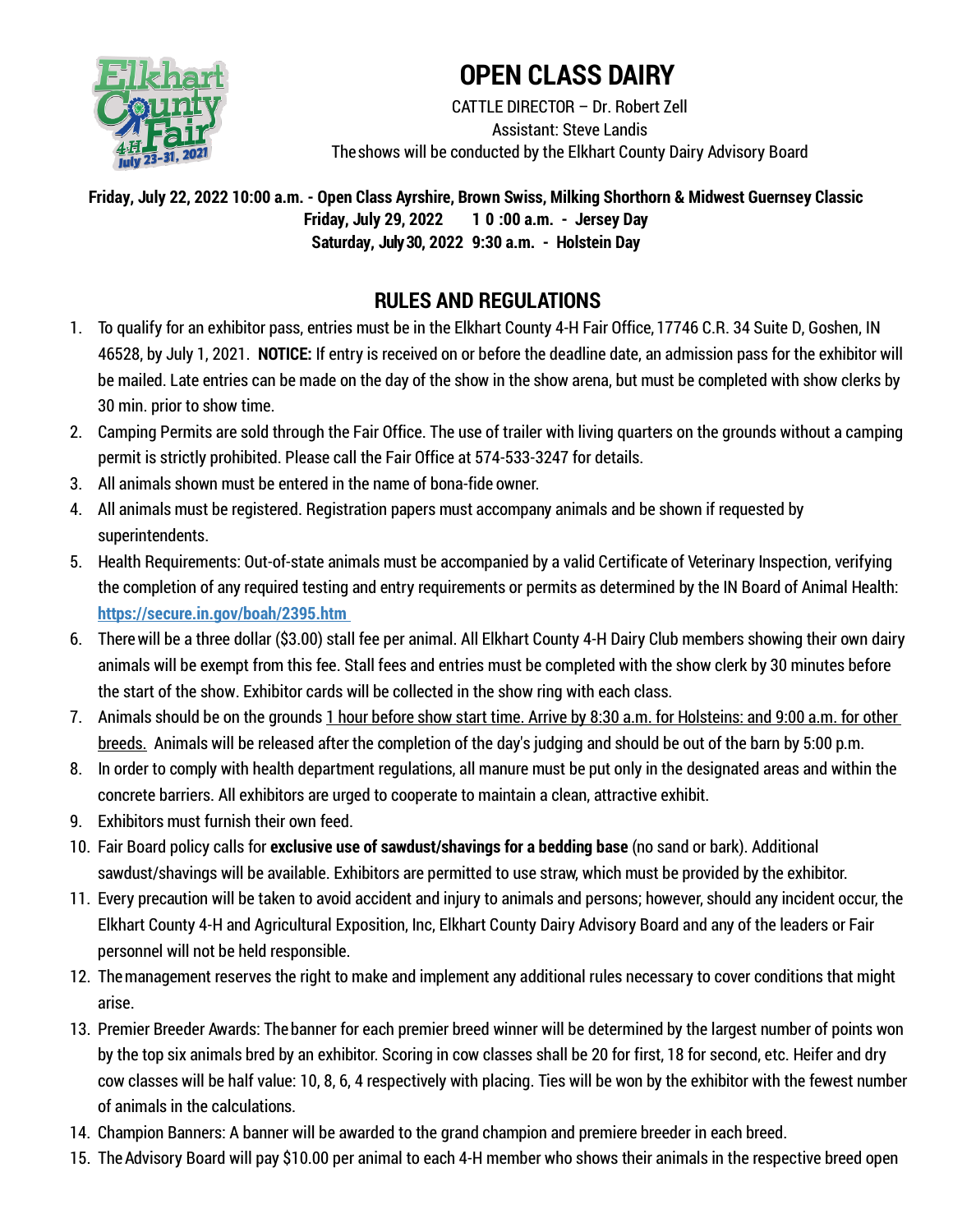

# **OPEN CLASS DAIRY**

CATTLE DIRECTOR – Dr. Robert Zell Assistant: Steve Landis Theshows will be conducted by the Elkhart County Dairy Advisory Board

**Friday, July 22, 2022 10:00 a.m. - Open Class Ayrshire, Brown Swiss, Milking Shorthorn & Midwest Guernsey Classic Friday, July 29, 2022 1 0 :00 a.m. - Jersey Day Saturday, July 30, 2022 9:30 a.m. - Holstein Day**

## **RULES AND REGULATIONS**

- 1. To qualify for an exhibitor pass, entries must be in the Elkhart County 4-H Fair Office, 17746 C.R. 34 Suite D, Goshen, IN 46528, by July 1, 2021. **NOTICE:** If entry is received on or before the deadline date, an admission pass for the exhibitor will be mailed. Late entries can be made on the day of the show in the show arena, but must be completed with show clerks by 30 min. prior to show time.
- 2. Camping Permits are sold through the Fair Office. The use of trailer with living quarters on the grounds without a camping permit is strictly prohibited. Please call the Fair Office at 574-533-3247 for details.
- 3. All animals shown must be entered in the name of bona-fide owner.
- 4. All animals must be registered. Registration papers must accompany animals and be shown if requested by superintendents.
- 5. Health Requirements: Out-of-state animals must be accompanied by a valid Certificate of Veterinary Inspection, verifying the completion of any required testing and entry requirements or permits as determined by the IN Board of Animal Health: **https://secure.in.gov/boah/2395.htm**
- 6. Therewill be a three dollar (\$3.00) stall fee per animal. All Elkhart County 4-H Dairy Club members showing their own dairy animals will be exempt from this fee. Stall fees and entries must be completed with the show clerk by 30 minutes before the start of the show. Exhibitor cards will be collected in the show ring with each class.
- 7. Animals should be on the grounds 1 hour before show start time. Arrive by 8:30 a.m. for Holsteins: and 9:00 a.m. for other breeds. Animals will be released after the completion of the day's judging and should be out of the barn by 5:00 p.m.
- 8. In order to comply with health department regulations, all manure must be put only in the designated areas and within the concrete barriers. All exhibitors are urged to cooperate to maintain a clean, attractive exhibit.
- 9. Exhibitors must furnish their own feed.
- 10. Fair Board policy calls for **exclusive use of sawdust/shavings for a bedding base** (no sand or bark). Additional sawdust/shavings will be available. Exhibitors are permitted to use straw, which must be provided by the exhibitor.
- 11. Every precaution will be taken to avoid accident and injury to animals and persons; however, should any incident occur, the Elkhart County 4-H and Agricultural Exposition, Inc, Elkhart County Dairy Advisory Board and any of the leaders or Fair personnel will not be held responsible.
- 12. Themanagement reserves the right to make and implement any additional rules necessary to cover conditions that might arise.
- 13. Premier Breeder Awards: The banner for each premier breed winner will be determined by the largest number of points won by the top six animals bred by an exhibitor. Scoring in cow classes shall be 20 for first, 18 for second, etc. Heifer and dry cow classes will be half value: 10, 8, 6, 4 respectively with placing. Ties will be won by the exhibitor with the fewest number of animals in the calculations.
- 14. Champion Banners: A banner will be awarded to the grand champion and premiere breeder in each breed.
- 15. TheAdvisory Board will pay \$10.00 per animal to each 4-H member who shows their animals in the respective breed open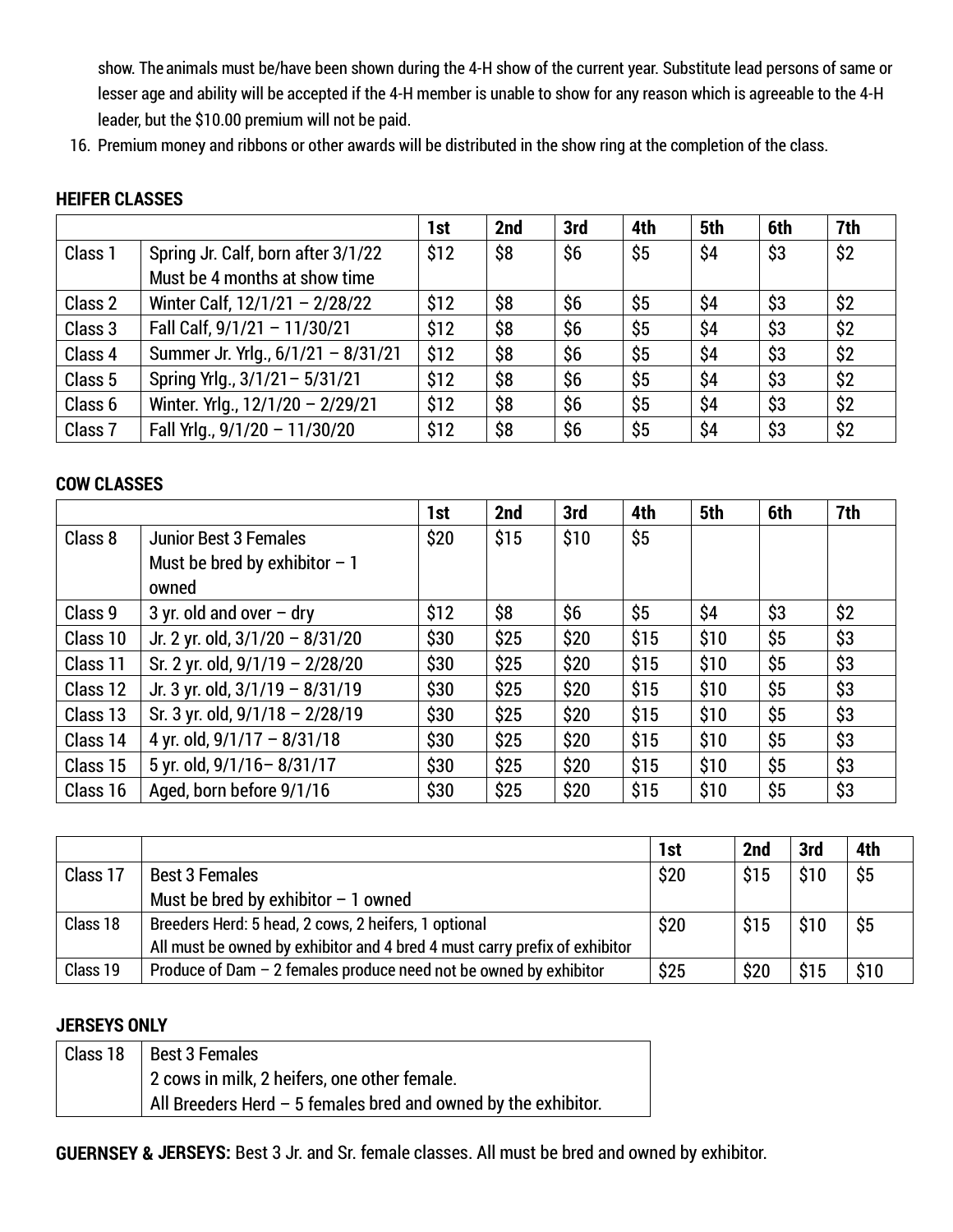show. The animals must be/have been shown during the 4-H show of the current year. Substitute lead persons of same or lesser age and ability will be accepted if the 4-H member is unable to show for any reason which is agreeable to the 4-H leader, but the \$10.00 premium will not be paid.

16. Premium money and ribbons or other awards will be distributed in the show ring at the completion of the class.

### **HEIFER CLASSES**

|                    |                                    | 1st  | 2nd | 3rd | 4th | 5th | 6th | 7th |
|--------------------|------------------------------------|------|-----|-----|-----|-----|-----|-----|
| Class 1            | Spring Jr. Calf, born after 3/1/22 | \$12 | \$8 | \$6 | \$5 | \$4 | \$3 | \$2 |
|                    | Must be 4 months at show time      |      |     |     |     |     |     |     |
| Class 2            | Winter Calf, 12/1/21 - 2/28/22     | \$12 | \$8 | \$6 | \$5 | \$4 | \$3 | \$2 |
| Class 3            | Fall Calf, 9/1/21 - 11/30/21       | \$12 | \$8 | \$6 | \$5 | \$4 | \$3 | \$2 |
| Class 4            | Summer Jr. Yrlg., 6/1/21 - 8/31/21 | \$12 | \$8 | \$6 | \$5 | \$4 | \$3 | \$2 |
| Class 5            | Spring Yrlg., 3/1/21-5/31/21       | \$12 | \$8 | \$6 | \$5 | \$4 | \$3 | \$2 |
| Class 6            | Winter. Yrlg., 12/1/20 - 2/29/21   | \$12 | \$8 | \$6 | \$5 | \$4 | \$3 | \$2 |
| Class <sub>7</sub> | Fall Yrlg., 9/1/20 - 11/30/20      | \$12 | \$8 | \$6 | \$5 | \$4 | \$3 | \$2 |

### **COW CLASSES**

|          |                                 | 1st  | 2nd  | 3rd  | 4th  | 5th  | 6th | 7th |
|----------|---------------------------------|------|------|------|------|------|-----|-----|
| Class 8  | <b>Junior Best 3 Females</b>    | \$20 | \$15 | \$10 | \$5  |      |     |     |
|          | Must be bred by exhibitor $-1$  |      |      |      |      |      |     |     |
|          | owned                           |      |      |      |      |      |     |     |
| Class 9  | 3 yr. old and over $-$ dry      | \$12 | \$8  | \$6  | \$5  | \$4  | \$3 | \$2 |
| Class 10 | Jr. 2 yr. old, 3/1/20 - 8/31/20 | \$30 | \$25 | \$20 | \$15 | \$10 | \$5 | \$3 |
| Class 11 | Sr. 2 yr. old, 9/1/19 - 2/28/20 | \$30 | \$25 | \$20 | \$15 | \$10 | \$5 | \$3 |
| Class 12 | Jr. 3 yr. old, 3/1/19 - 8/31/19 | \$30 | \$25 | \$20 | \$15 | \$10 | \$5 | \$3 |
| Class 13 | Sr. 3 yr. old, 9/1/18 - 2/28/19 | \$30 | \$25 | \$20 | \$15 | \$10 | \$5 | \$3 |
| Class 14 | 4 yr. old, $9/1/17 - 8/31/18$   | \$30 | \$25 | \$20 | \$15 | \$10 | \$5 | \$3 |
| Class 15 | 5 yr. old, 9/1/16-8/31/17       | \$30 | \$25 | \$20 | \$15 | \$10 | \$5 | \$3 |
| Class 16 | Aged, born before 9/1/16        | \$30 | \$25 | \$20 | \$15 | \$10 | \$5 | \$3 |

|          |                                                                            | 1st  | 2nd  | 3rd  | 4th  |
|----------|----------------------------------------------------------------------------|------|------|------|------|
| Class 17 | <b>Best 3 Females</b>                                                      | \$20 | \$15 | \$10 | \$5  |
|          | Must be bred by exhibitor $-1$ owned                                       |      |      |      |      |
| Class 18 | Breeders Herd: 5 head, 2 cows, 2 heifers, 1 optional                       | \$20 | \$15 | \$10 | \$5  |
|          | All must be owned by exhibitor and 4 bred 4 must carry prefix of exhibitor |      |      |      |      |
| Class 19 | Produce of Dam $-2$ females produce need not be owned by exhibitor         | \$25 | \$20 | \$15 | \$10 |

#### **JERSEYS ONLY**

| Class 18   Best 3 Females                                              |
|------------------------------------------------------------------------|
| 2 cows in milk, 2 heifers, one other female.                           |
| $\mid$ All Breeders Herd $-5$ females bred and owned by the exhibitor. |

**GUERNSEY & JERSEYS:** Best 3 Jr. and Sr. female classes. All must be bred and owned by exhibitor.